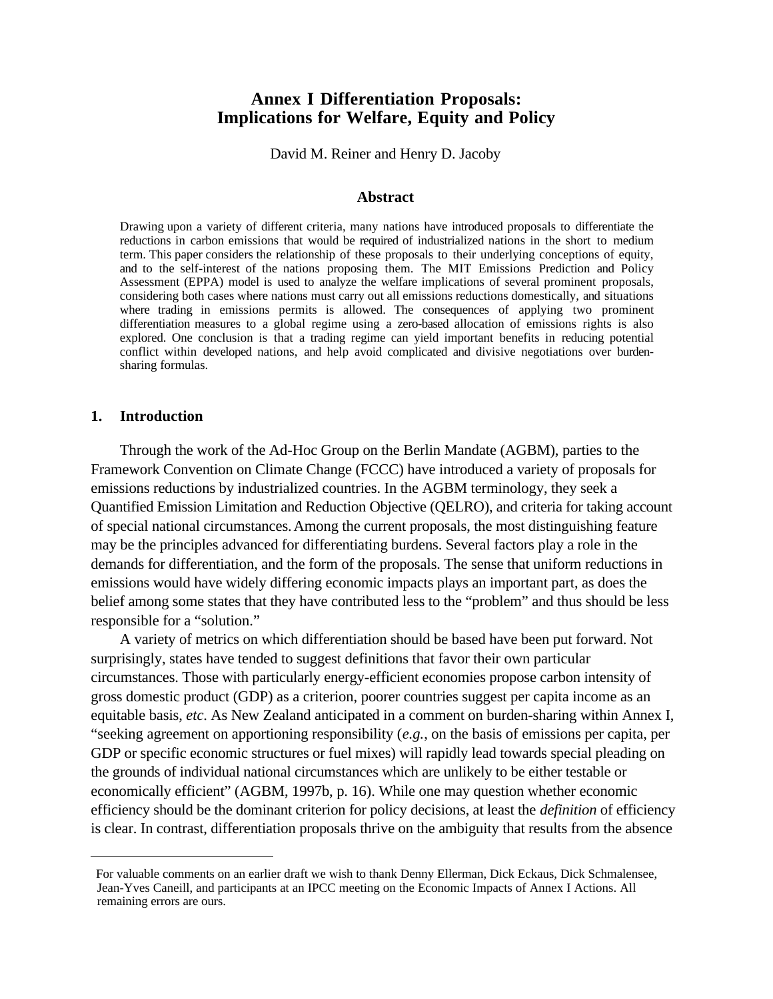# **Annex I Differentiation Proposals: Implications for Welfare, Equity and Policy**

David M. Reiner and Henry D. Jacoby

#### **Abstract**

Drawing upon a variety of different criteria, many nations have introduced proposals to differentiate the reductions in carbon emissions that would be required of industrialized nations in the short to medium term. This paper considers the relationship of these proposals to their underlying conceptions of equity, and to the self-interest of the nations proposing them. The MIT Emissions Prediction and Policy Assessment (EPPA) model is used to analyze the welfare implications of several prominent proposals, considering both cases where nations must carry out all emissions reductions domestically, and situations where trading in emissions permits is allowed. The consequences of applying two prominent differentiation measures to a global regime using a zero-based allocation of emissions rights is also explored. One conclusion is that a trading regime can yield important benefits in reducing potential conflict within developed nations, and help avoid complicated and divisive negotiations over burdensharing formulas.

#### **1. Introduction**

 $\overline{a}$ 

Through the work of the Ad-Hoc Group on the Berlin Mandate (AGBM), parties to the Framework Convention on Climate Change (FCCC) have introduced a variety of proposals for emissions reductions by industrialized countries. In the AGBM terminology, they seek a Quantified Emission Limitation and Reduction Objective (QELRO), and criteria for taking account of special national circumstances.Among the current proposals, the most distinguishing feature may be the principles advanced for differentiating burdens. Several factors play a role in the demands for differentiation, and the form of the proposals. The sense that uniform reductions in emissions would have widely differing economic impacts plays an important part, as does the belief among some states that they have contributed less to the "problem" and thus should be less responsible for a "solution."

A variety of metrics on which differentiation should be based have been put forward. Not surprisingly, states have tended to suggest definitions that favor their own particular circumstances. Those with particularly energy-efficient economies propose carbon intensity of gross domestic product (GDP) as a criterion, poorer countries suggest per capita income as an equitable basis, *etc*. As New Zealand anticipated in a comment on burden-sharing within Annex I, "seeking agreement on apportioning responsibility (*e.g.*, on the basis of emissions per capita, per GDP or specific economic structures or fuel mixes) will rapidly lead towards special pleading on the grounds of individual national circumstances which are unlikely to be either testable or economically efficient" (AGBM, 1997b, p. 16). While one may question whether economic efficiency should be the dominant criterion for policy decisions, at least the *definition* of efficiency is clear. In contrast, differentiation proposals thrive on the ambiguity that results from the absence

For valuable comments on an earlier draft we wish to thank Denny Ellerman, Dick Eckaus, Dick Schmalensee, Jean-Yves Caneill, and participants at an IPCC meeting on the Economic Impacts of Annex I Actions. All remaining errors are ours.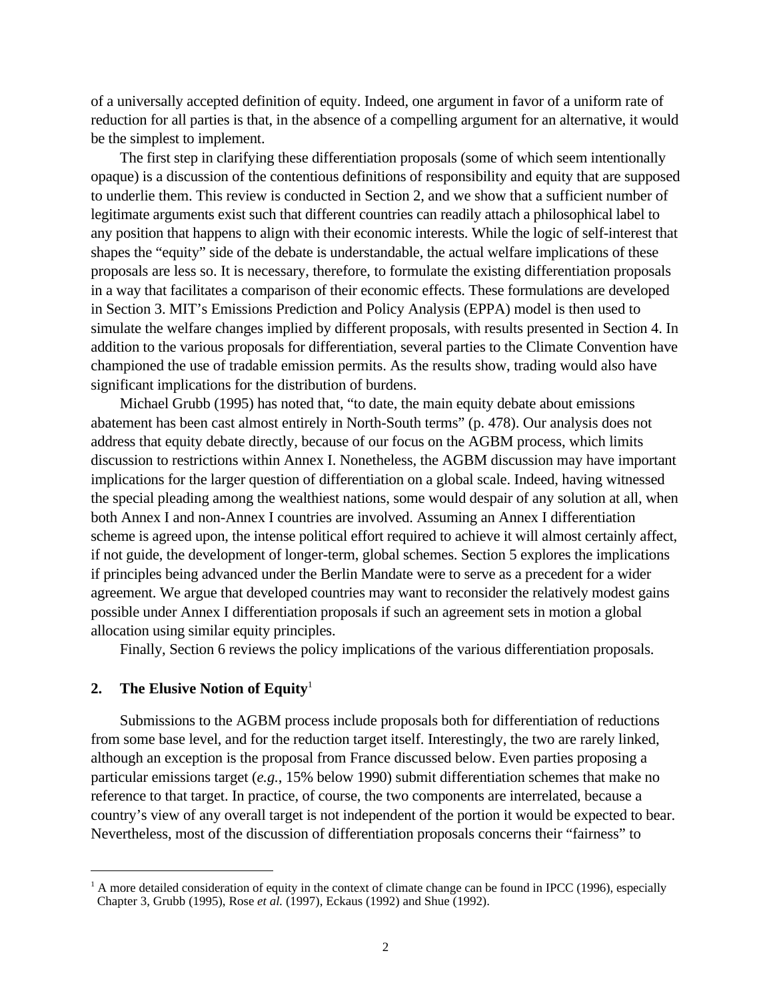of a universally accepted definition of equity. Indeed, one argument in favor of a uniform rate of reduction for all parties is that, in the absence of a compelling argument for an alternative, it would be the simplest to implement.

The first step in clarifying these differentiation proposals (some of which seem intentionally opaque) is a discussion of the contentious definitions of responsibility and equity that are supposed to underlie them. This review is conducted in Section 2, and we show that a sufficient number of legitimate arguments exist such that different countries can readily attach a philosophical label to any position that happens to align with their economic interests. While the logic of self-interest that shapes the "equity" side of the debate is understandable, the actual welfare implications of these proposals are less so. It is necessary, therefore, to formulate the existing differentiation proposals in a way that facilitates a comparison of their economic effects. These formulations are developed in Section 3. MIT's Emissions Prediction and Policy Analysis (EPPA) model is then used to simulate the welfare changes implied by different proposals, with results presented in Section 4. In addition to the various proposals for differentiation, several parties to the Climate Convention have championed the use of tradable emission permits. As the results show, trading would also have significant implications for the distribution of burdens.

 Michael Grubb (1995) has noted that, "to date, the main equity debate about emissions abatement has been cast almost entirely in North-South terms" (p. 478). Our analysis does not address that equity debate directly, because of our focus on the AGBM process, which limits discussion to restrictions within Annex I. Nonetheless, the AGBM discussion may have important implications for the larger question of differentiation on a global scale. Indeed, having witnessed the special pleading among the wealthiest nations, some would despair of any solution at all, when both Annex I and non-Annex I countries are involved. Assuming an Annex I differentiation scheme is agreed upon, the intense political effort required to achieve it will almost certainly affect, if not guide, the development of longer-term, global schemes. Section 5 explores the implications if principles being advanced under the Berlin Mandate were to serve as a precedent for a wider agreement. We argue that developed countries may want to reconsider the relatively modest gains possible under Annex I differentiation proposals if such an agreement sets in motion a global allocation using similar equity principles.

Finally, Section 6 reviews the policy implications of the various differentiation proposals.

#### **2.** The Elusive Notion of Equity<sup>1</sup>

<u>.</u>

Submissions to the AGBM process include proposals both for differentiation of reductions from some base level, and for the reduction target itself. Interestingly, the two are rarely linked, although an exception is the proposal from France discussed below. Even parties proposing a particular emissions target (*e.g.*, 15% below 1990) submit differentiation schemes that make no reference to that target. In practice, of course, the two components are interrelated, because a country's view of any overall target is not independent of the portion it would be expected to bear. Nevertheless, most of the discussion of differentiation proposals concerns their "fairness" to

 $<sup>1</sup>$  A more detailed consideration of equity in the context of climate change can be found in IPCC (1996), especially</sup> Chapter 3, Grubb (1995), Rose *et al.* (1997), Eckaus (1992) and Shue (1992).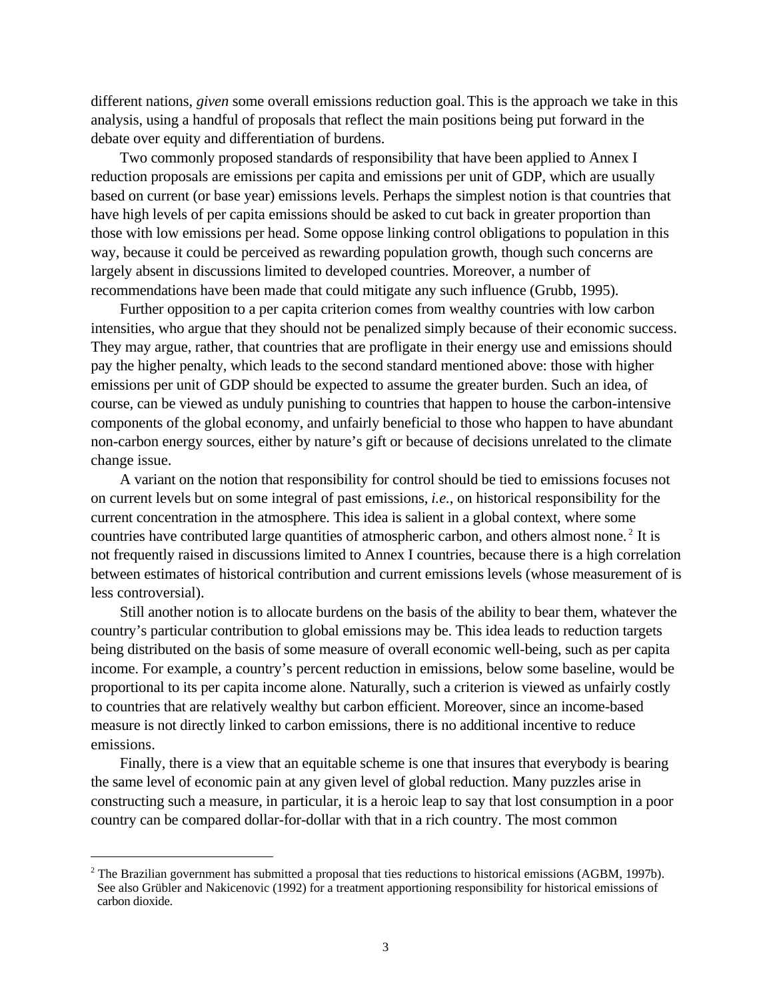different nations, *given* some overall emissions reduction goal.This is the approach we take in this analysis, using a handful of proposals that reflect the main positions being put forward in the debate over equity and differentiation of burdens.

Two commonly proposed standards of responsibility that have been applied to Annex I reduction proposals are emissions per capita and emissions per unit of GDP, which are usually based on current (or base year) emissions levels. Perhaps the simplest notion is that countries that have high levels of per capita emissions should be asked to cut back in greater proportion than those with low emissions per head. Some oppose linking control obligations to population in this way, because it could be perceived as rewarding population growth, though such concerns are largely absent in discussions limited to developed countries. Moreover, a number of recommendations have been made that could mitigate any such influence (Grubb, 1995).

Further opposition to a per capita criterion comes from wealthy countries with low carbon intensities, who argue that they should not be penalized simply because of their economic success. They may argue, rather, that countries that are profligate in their energy use and emissions should pay the higher penalty, which leads to the second standard mentioned above: those with higher emissions per unit of GDP should be expected to assume the greater burden. Such an idea, of course, can be viewed as unduly punishing to countries that happen to house the carbon-intensive components of the global economy, and unfairly beneficial to those who happen to have abundant non-carbon energy sources, either by nature's gift or because of decisions unrelated to the climate change issue.

A variant on the notion that responsibility for control should be tied to emissions focuses not on current levels but on some integral of past emissions, *i.e.*, on historical responsibility for the current concentration in the atmosphere. This idea is salient in a global context, where some countries have contributed large quantities of atmospheric carbon, and others almost none.<sup>2</sup> It is not frequently raised in discussions limited to Annex I countries, because there is a high correlation between estimates of historical contribution and current emissions levels (whose measurement of is less controversial).

Still another notion is to allocate burdens on the basis of the ability to bear them, whatever the country's particular contribution to global emissions may be. This idea leads to reduction targets being distributed on the basis of some measure of overall economic well-being, such as per capita income. For example, a country's percent reduction in emissions, below some baseline, would be proportional to its per capita income alone. Naturally, such a criterion is viewed as unfairly costly to countries that are relatively wealthy but carbon efficient. Moreover, since an income-based measure is not directly linked to carbon emissions, there is no additional incentive to reduce emissions.

Finally, there is a view that an equitable scheme is one that insures that everybody is bearing the same level of economic pain at any given level of global reduction. Many puzzles arise in constructing such a measure, in particular, it is a heroic leap to say that lost consumption in a poor country can be compared dollar-for-dollar with that in a rich country. The most common

 $\overline{a}$ 

 $2$  The Brazilian government has submitted a proposal that ties reductions to historical emissions (AGBM, 1997b). See also Grübler and Nakicenovic (1992) for a treatment apportioning responsibility for historical emissions of carbon dioxide.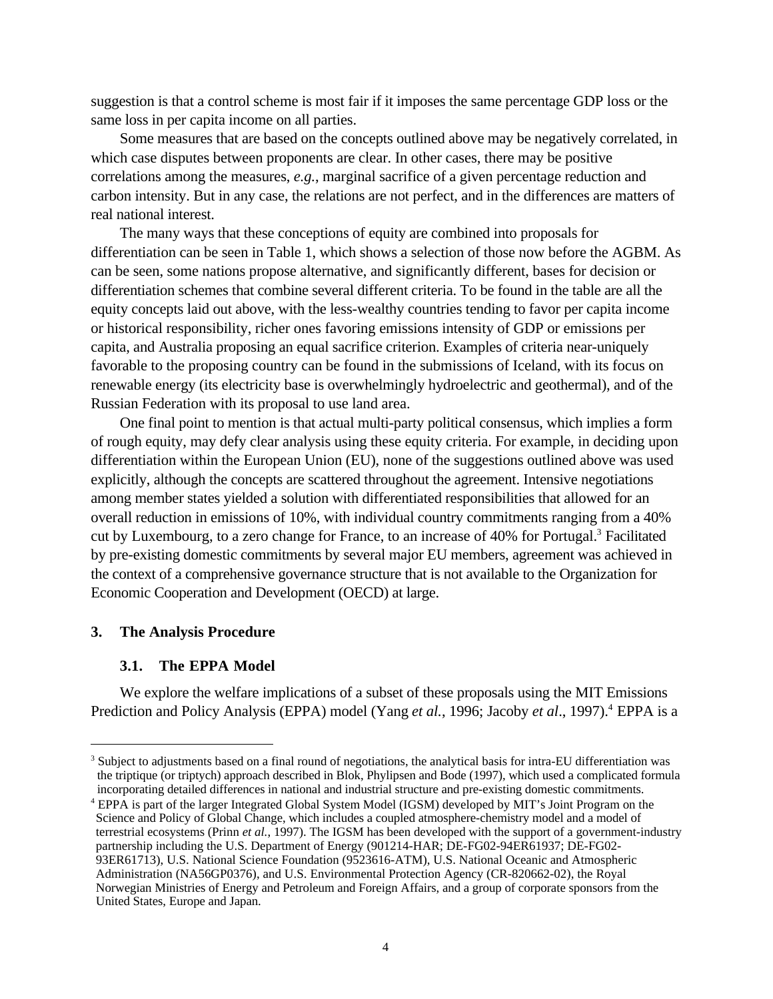suggestion is that a control scheme is most fair if it imposes the same percentage GDP loss or the same loss in per capita income on all parties.

Some measures that are based on the concepts outlined above may be negatively correlated, in which case disputes between proponents are clear. In other cases, there may be positive correlations among the measures, *e.g.*, marginal sacrifice of a given percentage reduction and carbon intensity. But in any case, the relations are not perfect, and in the differences are matters of real national interest.

The many ways that these conceptions of equity are combined into proposals for differentiation can be seen in Table 1, which shows a selection of those now before the AGBM. As can be seen, some nations propose alternative, and significantly different, bases for decision or differentiation schemes that combine several different criteria. To be found in the table are all the equity concepts laid out above, with the less-wealthy countries tending to favor per capita income or historical responsibility, richer ones favoring emissions intensity of GDP or emissions per capita, and Australia proposing an equal sacrifice criterion. Examples of criteria near-uniquely favorable to the proposing country can be found in the submissions of Iceland, with its focus on renewable energy (its electricity base is overwhelmingly hydroelectric and geothermal), and of the Russian Federation with its proposal to use land area.

One final point to mention is that actual multi-party political consensus, which implies a form of rough equity, may defy clear analysis using these equity criteria. For example, in deciding upon differentiation within the European Union (EU), none of the suggestions outlined above was used explicitly, although the concepts are scattered throughout the agreement. Intensive negotiations among member states yielded a solution with differentiated responsibilities that allowed for an overall reduction in emissions of 10%, with individual country commitments ranging from a 40% cut by Luxembourg, to a zero change for France, to an increase of 40% for Portugal.<sup>3</sup> Facilitated by pre-existing domestic commitments by several major EU members, agreement was achieved in the context of a comprehensive governance structure that is not available to the Organization for Economic Cooperation and Development (OECD) at large.

### **3. The Analysis Procedure**

 $\overline{a}$ 

#### **3.1. The EPPA Model**

We explore the welfare implications of a subset of these proposals using the MIT Emissions Prediction and Policy Analysis (EPPA) model (Yang *et al.*, 1996; Jacoby *et al.*, 1997).<sup>4</sup> EPPA is a

 $3$  Subject to adjustments based on a final round of negotiations, the analytical basis for intra-EU differentiation was the triptique (or triptych) approach described in Blok, Phylipsen and Bode (1997), which used a complicated formula incorporating detailed differences in national and industrial structure and pre-existing domestic commitments.

<sup>&</sup>lt;sup>4</sup> EPPA is part of the larger Integrated Global System Model (IGSM) developed by MIT's Joint Program on the Science and Policy of Global Change, which includes a coupled atmosphere-chemistry model and a model of terrestrial ecosystems (Prinn *et al.*, 1997). The IGSM has been developed with the support of a government-industry partnership including the U.S. Department of Energy (901214-HAR; DE-FG02-94ER61937; DE-FG02-93ER61713), U.S. National Science Foundation (9523616-ATM), U.S. National Oceanic and Atmospheric Administration (NA56GP0376), and U.S. Environmental Protection Agency (CR-820662-02), the Royal Norwegian Ministries of Energy and Petroleum and Foreign Affairs, and a group of corporate sponsors from the United States, Europe and Japan.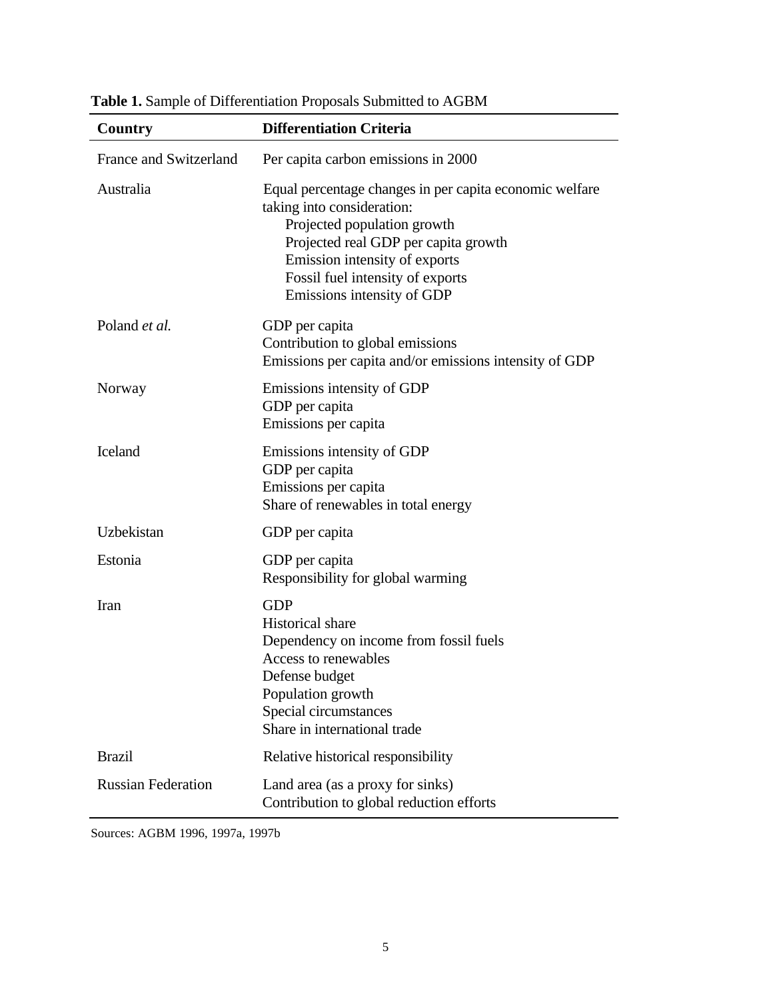| Country                       | <b>Differentiation Criteria</b>                                                                                                                                                                                                                                 |  |  |
|-------------------------------|-----------------------------------------------------------------------------------------------------------------------------------------------------------------------------------------------------------------------------------------------------------------|--|--|
| <b>France and Switzerland</b> | Per capita carbon emissions in 2000                                                                                                                                                                                                                             |  |  |
| Australia                     | Equal percentage changes in per capita economic welfare<br>taking into consideration:<br>Projected population growth<br>Projected real GDP per capita growth<br>Emission intensity of exports<br>Fossil fuel intensity of exports<br>Emissions intensity of GDP |  |  |
| Poland et al.                 | GDP per capita<br>Contribution to global emissions<br>Emissions per capita and/or emissions intensity of GDP                                                                                                                                                    |  |  |
| Norway                        | Emissions intensity of GDP<br>GDP per capita<br>Emissions per capita                                                                                                                                                                                            |  |  |
| <b>Iceland</b>                | Emissions intensity of GDP<br>GDP per capita<br>Emissions per capita<br>Share of renewables in total energy                                                                                                                                                     |  |  |
| Uzbekistan                    | GDP per capita                                                                                                                                                                                                                                                  |  |  |
| Estonia                       | GDP per capita<br>Responsibility for global warming                                                                                                                                                                                                             |  |  |
| Iran                          | <b>GDP</b><br><b>Historical</b> share<br>Dependency on income from fossil fuels<br>Access to renewables<br>Defense budget<br>Population growth<br>Special circumstances<br>Share in international trade                                                         |  |  |
| <b>Brazil</b>                 | Relative historical responsibility                                                                                                                                                                                                                              |  |  |
| <b>Russian Federation</b>     | Land area (as a proxy for sinks)<br>Contribution to global reduction efforts                                                                                                                                                                                    |  |  |

**Table 1.** Sample of Differentiation Proposals Submitted to AGBM

Sources: AGBM 1996, 1997a, 1997b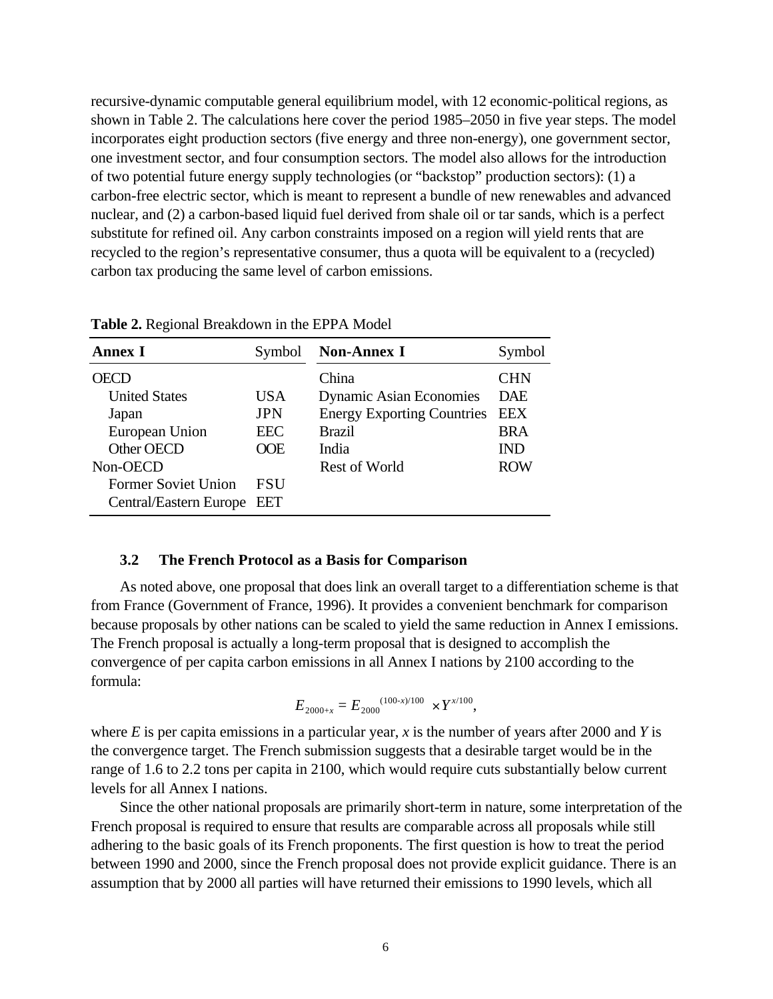recursive-dynamic computable general equilibrium model, with 12 economic-political regions, as shown in Table 2. The calculations here cover the period 1985–2050 in five year steps. The model incorporates eight production sectors (five energy and three non-energy), one government sector, one investment sector, and four consumption sectors. The model also allows for the introduction of two potential future energy supply technologies (or "backstop" production sectors): (1) a carbon-free electric sector, which is meant to represent a bundle of new renewables and advanced nuclear, and (2) a carbon-based liquid fuel derived from shale oil or tar sands, which is a perfect substitute for refined oil. Any carbon constraints imposed on a region will yield rents that are recycled to the region's representative consumer, thus a quota will be equivalent to a (recycled) carbon tax producing the same level of carbon emissions.

| Annex I                    | Symbol     | <b>Non-Annex I</b>                | Symbol     |
|----------------------------|------------|-----------------------------------|------------|
|                            |            | China                             | <b>CHN</b> |
| <b>United States</b>       | USA        | <b>Dynamic Asian Economies</b>    | <b>DAE</b> |
| Japan                      | <b>JPN</b> | <b>Energy Exporting Countries</b> | <b>EEX</b> |
| European Union             | <b>EEC</b> | <b>Brazil</b>                     | <b>BRA</b> |
| Other OECD                 | OOE        | India                             | <b>IND</b> |
| Non-OECD                   |            | Rest of World                     | <b>ROW</b> |
| <b>Former Soviet Union</b> | <b>FSU</b> |                                   |            |
| Central/Eastern Europe EET |            |                                   |            |

**Table 2.** Regional Breakdown in the EPPA Model

#### **3.2 The French Protocol as a Basis for Comparison**

As noted above, one proposal that does link an overall target to a differentiation scheme is that from France (Government of France, 1996). It provides a convenient benchmark for comparison because proposals by other nations can be scaled to yield the same reduction in Annex I emissions. The French proposal is actually a long-term proposal that is designed to accomplish the convergence of per capita carbon emissions in all Annex I nations by 2100 according to the formula:

$$
E_{2000+x} = E_{2000}^{(100-x)/100} \times Y^{x/100},
$$

where *E* is per capita emissions in a particular year, *x* is the number of years after 2000 and *Y* is the convergence target. The French submission suggests that a desirable target would be in the range of 1.6 to 2.2 tons per capita in 2100, which would require cuts substantially below current levels for all Annex I nations.

Since the other national proposals are primarily short-term in nature, some interpretation of the French proposal is required to ensure that results are comparable across all proposals while still adhering to the basic goals of its French proponents. The first question is how to treat the period between 1990 and 2000, since the French proposal does not provide explicit guidance. There is an assumption that by 2000 all parties will have returned their emissions to 1990 levels, which all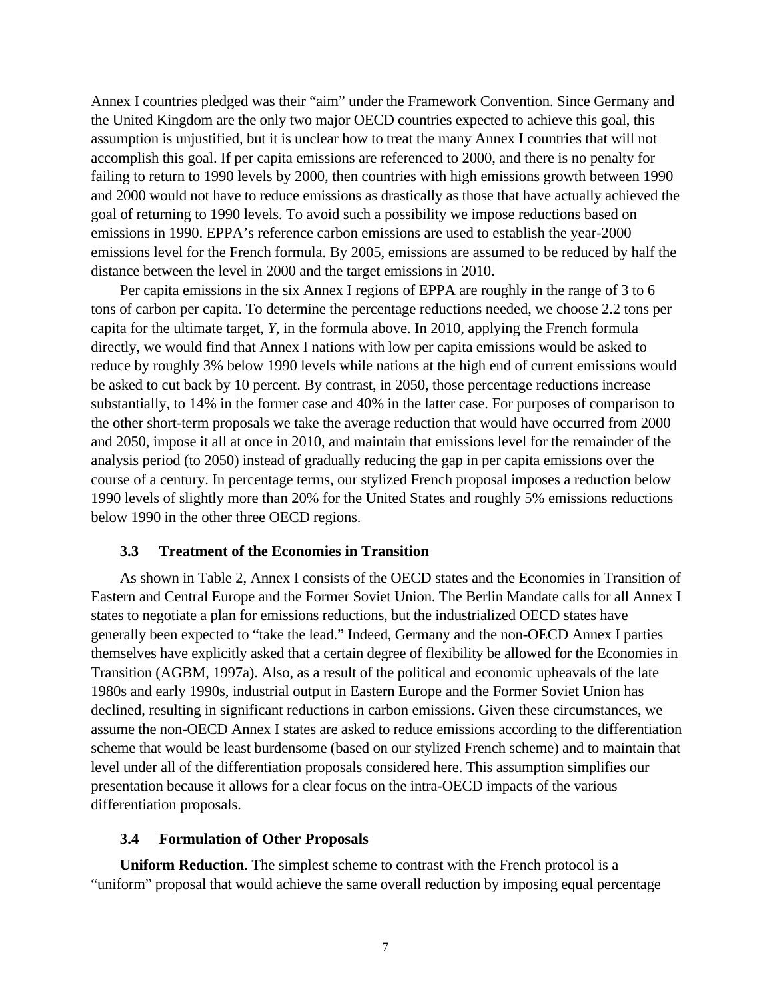Annex I countries pledged was their "aim" under the Framework Convention. Since Germany and the United Kingdom are the only two major OECD countries expected to achieve this goal, this assumption is unjustified, but it is unclear how to treat the many Annex I countries that will not accomplish this goal. If per capita emissions are referenced to 2000, and there is no penalty for failing to return to 1990 levels by 2000, then countries with high emissions growth between 1990 and 2000 would not have to reduce emissions as drastically as those that have actually achieved the goal of returning to 1990 levels. To avoid such a possibility we impose reductions based on emissions in 1990. EPPA's reference carbon emissions are used to establish the year-2000 emissions level for the French formula. By 2005, emissions are assumed to be reduced by half the distance between the level in 2000 and the target emissions in 2010.

Per capita emissions in the six Annex I regions of EPPA are roughly in the range of 3 to 6 tons of carbon per capita. To determine the percentage reductions needed, we choose 2.2 tons per capita for the ultimate target, *Y*, in the formula above. In 2010, applying the French formula directly, we would find that Annex I nations with low per capita emissions would be asked to reduce by roughly 3% below 1990 levels while nations at the high end of current emissions would be asked to cut back by 10 percent. By contrast, in 2050, those percentage reductions increase substantially, to 14% in the former case and 40% in the latter case. For purposes of comparison to the other short-term proposals we take the average reduction that would have occurred from 2000 and 2050, impose it all at once in 2010, and maintain that emissions level for the remainder of the analysis period (to 2050) instead of gradually reducing the gap in per capita emissions over the course of a century. In percentage terms, our stylized French proposal imposes a reduction below 1990 levels of slightly more than 20% for the United States and roughly 5% emissions reductions below 1990 in the other three OECD regions.

### **3.3 Treatment of the Economies in Transition**

As shown in Table 2, Annex I consists of the OECD states and the Economies in Transition of Eastern and Central Europe and the Former Soviet Union. The Berlin Mandate calls for all Annex I states to negotiate a plan for emissions reductions, but the industrialized OECD states have generally been expected to "take the lead." Indeed, Germany and the non-OECD Annex I parties themselves have explicitly asked that a certain degree of flexibility be allowed for the Economies in Transition (AGBM, 1997a). Also, as a result of the political and economic upheavals of the late 1980s and early 1990s, industrial output in Eastern Europe and the Former Soviet Union has declined, resulting in significant reductions in carbon emissions. Given these circumstances, we assume the non-OECD Annex I states are asked to reduce emissions according to the differentiation scheme that would be least burdensome (based on our stylized French scheme) and to maintain that level under all of the differentiation proposals considered here. This assumption simplifies our presentation because it allows for a clear focus on the intra-OECD impacts of the various differentiation proposals.

### **3.4 Formulation of Other Proposals**

**Uniform Reduction**. The simplest scheme to contrast with the French protocol is a "uniform" proposal that would achieve the same overall reduction by imposing equal percentage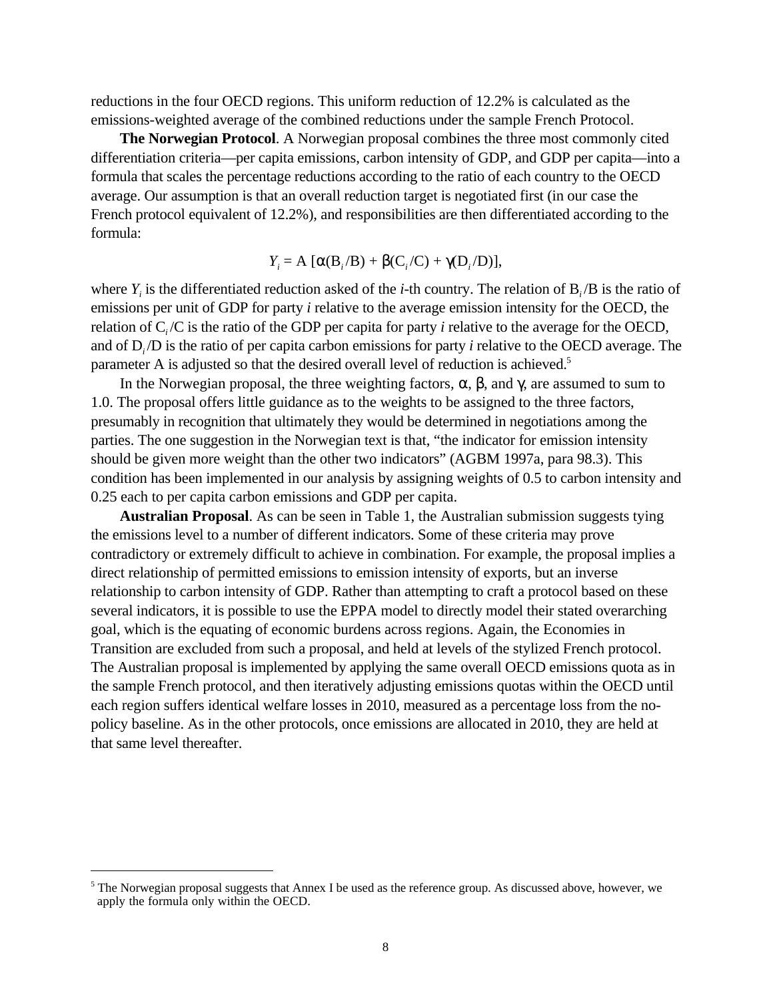reductions in the four OECD regions. This uniform reduction of 12.2% is calculated as the emissions-weighted average of the combined reductions under the sample French Protocol.

**The Norwegian Protocol**. A Norwegian proposal combines the three most commonly cited differentiation criteria—per capita emissions, carbon intensity of GDP, and GDP per capita—into a formula that scales the percentage reductions according to the ratio of each country to the OECD average. Our assumption is that an overall reduction target is negotiated first (in our case the French protocol equivalent of 12.2%), and responsibilities are then differentiated according to the formula:

*Y<sub>i</sub>* = A [α(B<sub>*i*</sub>/B) + β(C<sub>*i*</sub>/C) + γ(D<sub>*i*</sub>/D)],

where  $Y_i$  is the differentiated reduction asked of the *i*-th country. The relation of  $B_i/B$  is the ratio of emissions per unit of GDP for party *i* relative to the average emission intensity for the OECD, the relation of C*i* /C is the ratio of the GDP per capita for party *i* relative to the average for the OECD, and of D*i* /D is the ratio of per capita carbon emissions for party *i* relative to the OECD average. The parameter A is adjusted so that the desired overall level of reduction is achieved.<sup>5</sup>

In the Norwegian proposal, the three weighting factors,  $\alpha$ ,  $\beta$ , and  $\gamma$ , are assumed to sum to 1.0. The proposal offers little guidance as to the weights to be assigned to the three factors, presumably in recognition that ultimately they would be determined in negotiations among the parties. The one suggestion in the Norwegian text is that, "the indicator for emission intensity should be given more weight than the other two indicators" (AGBM 1997a, para 98.3). This condition has been implemented in our analysis by assigning weights of 0.5 to carbon intensity and 0.25 each to per capita carbon emissions and GDP per capita.

**Australian Proposal**. As can be seen in Table 1, the Australian submission suggests tying the emissions level to a number of different indicators. Some of these criteria may prove contradictory or extremely difficult to achieve in combination. For example, the proposal implies a direct relationship of permitted emissions to emission intensity of exports, but an inverse relationship to carbon intensity of GDP. Rather than attempting to craft a protocol based on these several indicators, it is possible to use the EPPA model to directly model their stated overarching goal, which is the equating of economic burdens across regions. Again, the Economies in Transition are excluded from such a proposal, and held at levels of the stylized French protocol. The Australian proposal is implemented by applying the same overall OECD emissions quota as in the sample French protocol, and then iteratively adjusting emissions quotas within the OECD until each region suffers identical welfare losses in 2010, measured as a percentage loss from the nopolicy baseline. As in the other protocols, once emissions are allocated in 2010, they are held at that same level thereafter.

<u>.</u>

<sup>&</sup>lt;sup>5</sup> The Norwegian proposal suggests that Annex I be used as the reference group. As discussed above, however, we apply the formula only within the OECD.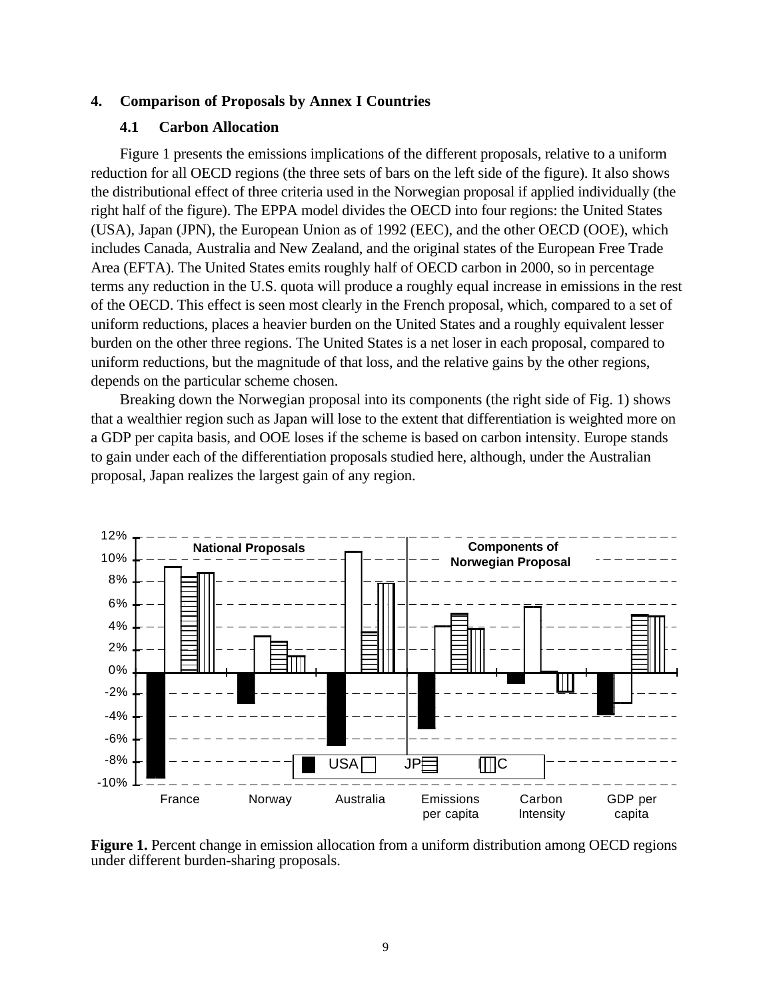#### **4. Comparison of Proposals by Annex I Countries**

## **4.1 Carbon Allocation**

Figure 1 presents the emissions implications of the different proposals, relative to a uniform reduction for all OECD regions (the three sets of bars on the left side of the figure). It also shows the distributional effect of three criteria used in the Norwegian proposal if applied individually (the right half of the figure). The EPPA model divides the OECD into four regions: the United States (USA), Japan (JPN), the European Union as of 1992 (EEC), and the other OECD (OOE), which includes Canada, Australia and New Zealand, and the original states of the European Free Trade Area (EFTA). The United States emits roughly half of OECD carbon in 2000, so in percentage terms any reduction in the U.S. quota will produce a roughly equal increase in emissions in the rest of the OECD. This effect is seen most clearly in the French proposal, which, compared to a set of uniform reductions, places a heavier burden on the United States and a roughly equivalent lesser burden on the other three regions. The United States is a net loser in each proposal, compared to uniform reductions, but the magnitude of that loss, and the relative gains by the other regions, depends on the particular scheme chosen.

Breaking down the Norwegian proposal into its components (the right side of Fig. 1) shows that a wealthier region such as Japan will lose to the extent that differentiation is weighted more on a GDP per capita basis, and OOE loses if the scheme is based on carbon intensity. Europe stands to gain under each of the differentiation proposals studied here, although, under the Australian proposal, Japan realizes the largest gain of any region.



**Figure 1.** Percent change in emission allocation from a uniform distribution among OECD regions under different burden-sharing proposals.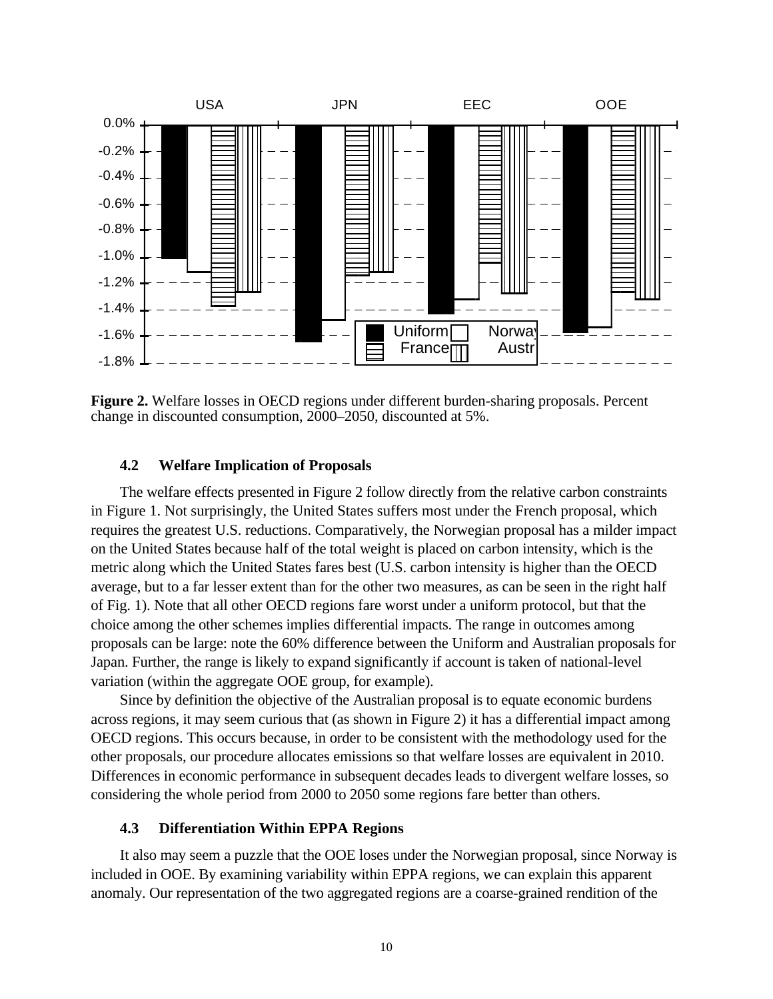

**Figure 2.** Welfare losses in OECD regions under different burden-sharing proposals. Percent change in discounted consumption, 2000–2050, discounted at 5%.

## **4.2 Welfare Implication of Proposals**

The welfare effects presented in Figure 2 follow directly from the relative carbon constraints in Figure 1. Not surprisingly, the United States suffers most under the French proposal, which requires the greatest U.S. reductions. Comparatively, the Norwegian proposal has a milder impact on the United States because half of the total weight is placed on carbon intensity, which is the metric along which the United States fares best (U.S. carbon intensity is higher than the OECD average, but to a far lesser extent than for the other two measures, as can be seen in the right half of Fig. 1). Note that all other OECD regions fare worst under a uniform protocol, but that the choice among the other schemes implies differential impacts. The range in outcomes among proposals can be large: note the 60% difference between the Uniform and Australian proposals for Japan. Further, the range is likely to expand significantly if account is taken of national-level variation (within the aggregate OOE group, for example).

Since by definition the objective of the Australian proposal is to equate economic burdens across regions, it may seem curious that (as shown in Figure 2) it has a differential impact among OECD regions. This occurs because, in order to be consistent with the methodology used for the other proposals, our procedure allocates emissions so that welfare losses are equivalent in 2010. Differences in economic performance in subsequent decades leads to divergent welfare losses, so considering the whole period from 2000 to 2050 some regions fare better than others.

#### **4.3 Differentiation Within EPPA Regions**

It also may seem a puzzle that the OOE loses under the Norwegian proposal, since Norway is included in OOE. By examining variability within EPPA regions, we can explain this apparent anomaly. Our representation of the two aggregated regions are a coarse-grained rendition of the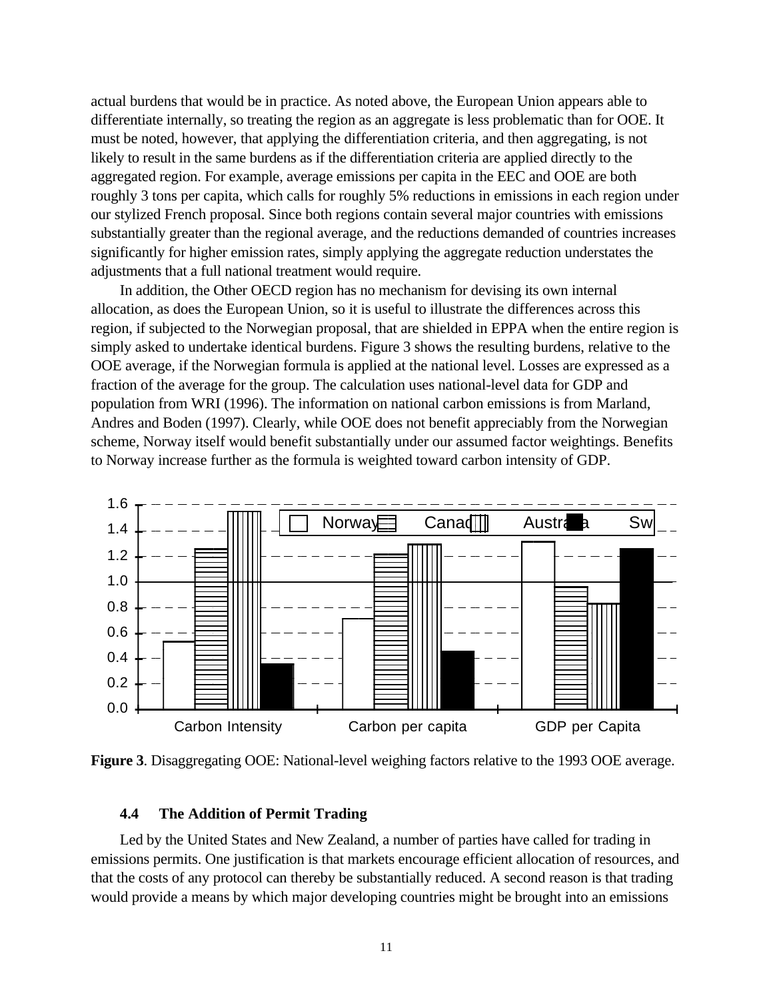actual burdens that would be in practice. As noted above, the European Union appears able to differentiate internally, so treating the region as an aggregate is less problematic than for OOE. It must be noted, however, that applying the differentiation criteria, and then aggregating, is not likely to result in the same burdens as if the differentiation criteria are applied directly to the aggregated region. For example, average emissions per capita in the EEC and OOE are both roughly 3 tons per capita, which calls for roughly 5% reductions in emissions in each region under our stylized French proposal. Since both regions contain several major countries with emissions substantially greater than the regional average, and the reductions demanded of countries increases significantly for higher emission rates, simply applying the aggregate reduction understates the adjustments that a full national treatment would require.

In addition, the Other OECD region has no mechanism for devising its own internal allocation, as does the European Union, so it is useful to illustrate the differences across this region, if subjected to the Norwegian proposal, that are shielded in EPPA when the entire region is simply asked to undertake identical burdens. Figure 3 shows the resulting burdens, relative to the OOE average, if the Norwegian formula is applied at the national level. Losses are expressed as a fraction of the average for the group. The calculation uses national-level data for GDP and population from WRI (1996). The information on national carbon emissions is from Marland, Andres and Boden (1997). Clearly, while OOE does not benefit appreciably from the Norwegian scheme, Norway itself would benefit substantially under our assumed factor weightings. Benefits to Norway increase further as the formula is weighted toward carbon intensity of GDP.



**Figure 3**. Disaggregating OOE: National-level weighing factors relative to the 1993 OOE average.

#### **4.4 The Addition of Permit Trading**

Led by the United States and New Zealand, a number of parties have called for trading in emissions permits. One justification is that markets encourage efficient allocation of resources, and that the costs of any protocol can thereby be substantially reduced. A second reason is that trading would provide a means by which major developing countries might be brought into an emissions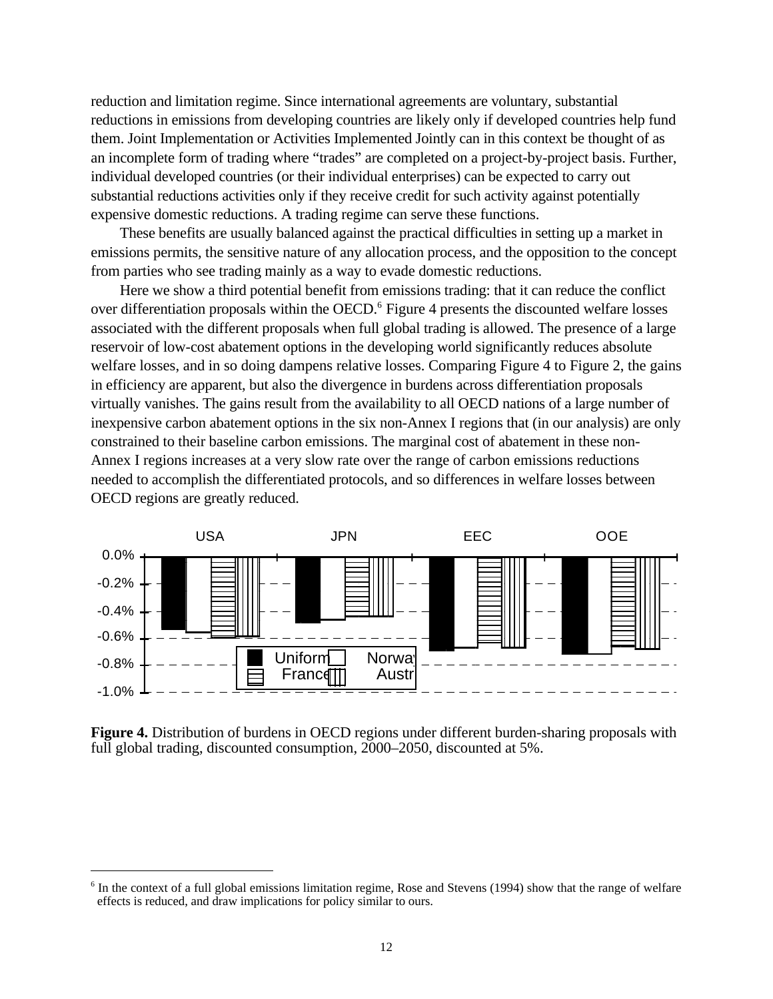reduction and limitation regime. Since international agreements are voluntary, substantial reductions in emissions from developing countries are likely only if developed countries help fund them. Joint Implementation or Activities Implemented Jointly can in this context be thought of as an incomplete form of trading where "trades" are completed on a project-by-project basis. Further, individual developed countries (or their individual enterprises) can be expected to carry out substantial reductions activities only if they receive credit for such activity against potentially expensive domestic reductions. A trading regime can serve these functions.

These benefits are usually balanced against the practical difficulties in setting up a market in emissions permits, the sensitive nature of any allocation process, and the opposition to the concept from parties who see trading mainly as a way to evade domestic reductions.

Here we show a third potential benefit from emissions trading: that it can reduce the conflict over differentiation proposals within the OECD.<sup>6</sup> Figure 4 presents the discounted welfare losses associated with the different proposals when full global trading is allowed. The presence of a large reservoir of low-cost abatement options in the developing world significantly reduces absolute welfare losses, and in so doing dampens relative losses. Comparing Figure 4 to Figure 2, the gains in efficiency are apparent, but also the divergence in burdens across differentiation proposals virtually vanishes. The gains result from the availability to all OECD nations of a large number of inexpensive carbon abatement options in the six non-Annex I regions that (in our analysis) are only constrained to their baseline carbon emissions. The marginal cost of abatement in these non-Annex I regions increases at a very slow rate over the range of carbon emissions reductions needed to accomplish the differentiated protocols, and so differences in welfare losses between OECD regions are greatly reduced.



**Figure 4.** Distribution of burdens in OECD regions under different burden-sharing proposals with full global trading, discounted consumption, 2000–2050, discounted at 5%.

 $\overline{a}$ 

<sup>&</sup>lt;sup>6</sup> In the context of a full global emissions limitation regime, Rose and Stevens (1994) show that the range of welfare effects is reduced, and draw implications for policy similar to ours.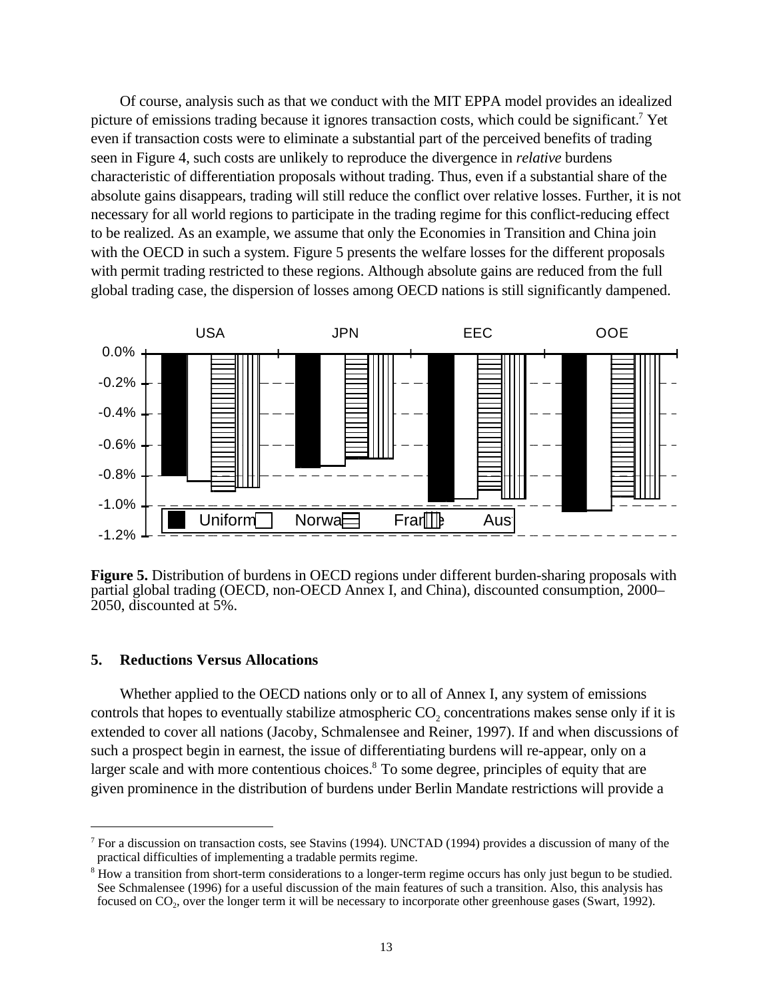Of course, analysis such as that we conduct with the MIT EPPA model provides an idealized picture of emissions trading because it ignores transaction costs, which could be significant.<sup>7</sup> Yet even if transaction costs were to eliminate a substantial part of the perceived benefits of trading seen in Figure 4, such costs are unlikely to reproduce the divergence in *relative* burdens characteristic of differentiation proposals without trading. Thus, even if a substantial share of the absolute gains disappears, trading will still reduce the conflict over relative losses. Further, it is not necessary for all world regions to participate in the trading regime for this conflict-reducing effect to be realized. As an example, we assume that only the Economies in Transition and China join with the OECD in such a system. Figure 5 presents the welfare losses for the different proposals with permit trading restricted to these regions. Although absolute gains are reduced from the full global trading case, the dispersion of losses among OECD nations is still significantly dampened.



**Figure 5.** Distribution of burdens in OECD regions under different burden-sharing proposals with partial global trading (OECD, non-OECD Annex I, and China), discounted consumption, 2000– 2050, discounted at 5%.

### **5. Reductions Versus Allocations**

<u>.</u>

Whether applied to the OECD nations only or to all of Annex I, any system of emissions controls that hopes to eventually stabilize atmospheric  $CO<sub>2</sub>$  concentrations makes sense only if it is extended to cover all nations (Jacoby, Schmalensee and Reiner, 1997). If and when discussions of such a prospect begin in earnest, the issue of differentiating burdens will re-appear, only on a larger scale and with more contentious choices.<sup>8</sup> To some degree, principles of equity that are given prominence in the distribution of burdens under Berlin Mandate restrictions will provide a

<sup>&</sup>lt;sup>7</sup> For a discussion on transaction costs, see Stavins (1994). UNCTAD (1994) provides a discussion of many of the practical difficulties of implementing a tradable permits regime.

<sup>&</sup>lt;sup>8</sup> How a transition from short-term considerations to a longer-term regime occurs has only just begun to be studied. See Schmalensee (1996) for a useful discussion of the main features of such a transition. Also, this analysis has focused on CO2, over the longer term it will be necessary to incorporate other greenhouse gases (Swart, 1992).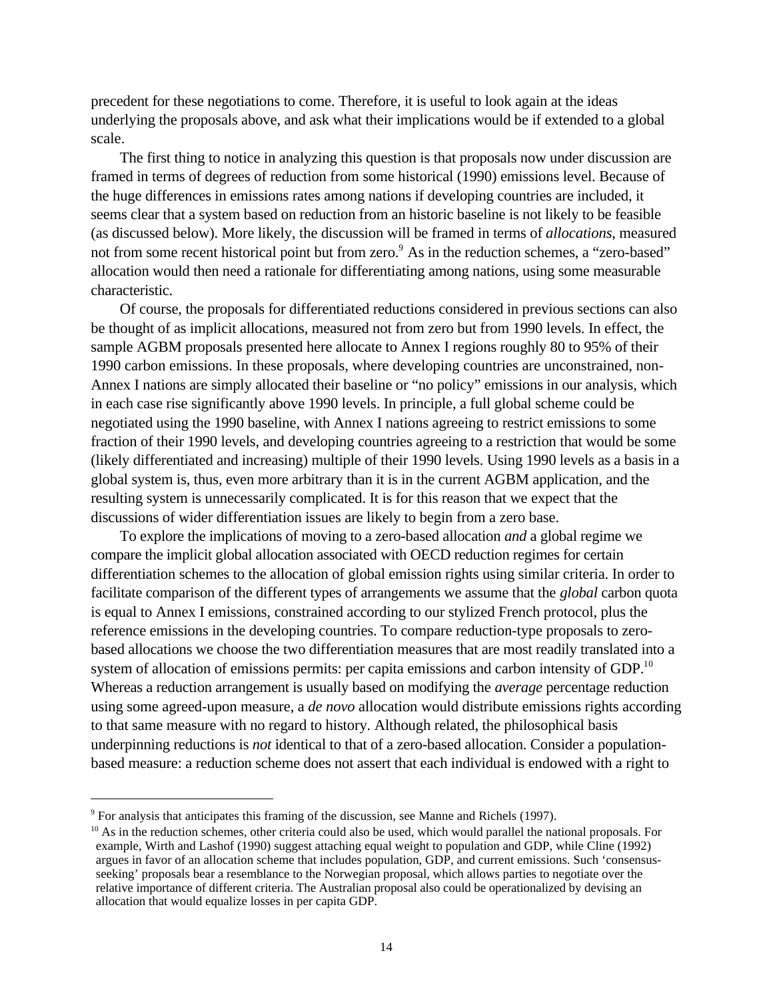precedent for these negotiations to come. Therefore, it is useful to look again at the ideas underlying the proposals above, and ask what their implications would be if extended to a global scale.

The first thing to notice in analyzing this question is that proposals now under discussion are framed in terms of degrees of reduction from some historical (1990) emissions level. Because of the huge differences in emissions rates among nations if developing countries are included, it seems clear that a system based on reduction from an historic baseline is not likely to be feasible (as discussed below). More likely, the discussion will be framed in terms of *allocations*, measured not from some recent historical point but from zero.<sup>9</sup> As in the reduction schemes, a "zero-based" allocation would then need a rationale for differentiating among nations, using some measurable characteristic.

Of course, the proposals for differentiated reductions considered in previous sections can also be thought of as implicit allocations, measured not from zero but from 1990 levels. In effect, the sample AGBM proposals presented here allocate to Annex I regions roughly 80 to 95% of their 1990 carbon emissions. In these proposals, where developing countries are unconstrained, non-Annex I nations are simply allocated their baseline or "no policy" emissions in our analysis, which in each case rise significantly above 1990 levels. In principle, a full global scheme could be negotiated using the 1990 baseline, with Annex I nations agreeing to restrict emissions to some fraction of their 1990 levels, and developing countries agreeing to a restriction that would be some (likely differentiated and increasing) multiple of their 1990 levels. Using 1990 levels as a basis in a global system is, thus, even more arbitrary than it is in the current AGBM application, and the resulting system is unnecessarily complicated. It is for this reason that we expect that the discussions of wider differentiation issues are likely to begin from a zero base.

To explore the implications of moving to a zero-based allocation *and* a global regime we compare the implicit global allocation associated with OECD reduction regimes for certain differentiation schemes to the allocation of global emission rights using similar criteria. In order to facilitate comparison of the different types of arrangements we assume that the *global* carbon quota is equal to Annex I emissions, constrained according to our stylized French protocol, plus the reference emissions in the developing countries. To compare reduction-type proposals to zerobased allocations we choose the two differentiation measures that are most readily translated into a system of allocation of emissions permits: per capita emissions and carbon intensity of GDP.<sup>10</sup> Whereas a reduction arrangement is usually based on modifying the *average* percentage reduction using some agreed-upon measure, a *de novo* allocation would distribute emissions rights according to that same measure with no regard to history. Although related, the philosophical basis underpinning reductions is *not* identical to that of a zero-based allocation. Consider a populationbased measure: a reduction scheme does not assert that each individual is endowed with a right to

 $\overline{a}$ 

<sup>&</sup>lt;sup>9</sup> For analysis that anticipates this framing of the discussion, see Manne and Richels (1997).

 $10$  As in the reduction schemes, other criteria could also be used, which would parallel the national proposals. For example, Wirth and Lashof (1990) suggest attaching equal weight to population and GDP, while Cline (1992) argues in favor of an allocation scheme that includes population, GDP, and current emissions. Such 'consensusseeking' proposals bear a resemblance to the Norwegian proposal, which allows parties to negotiate over the relative importance of different criteria. The Australian proposal also could be operationalized by devising an allocation that would equalize losses in per capita GDP.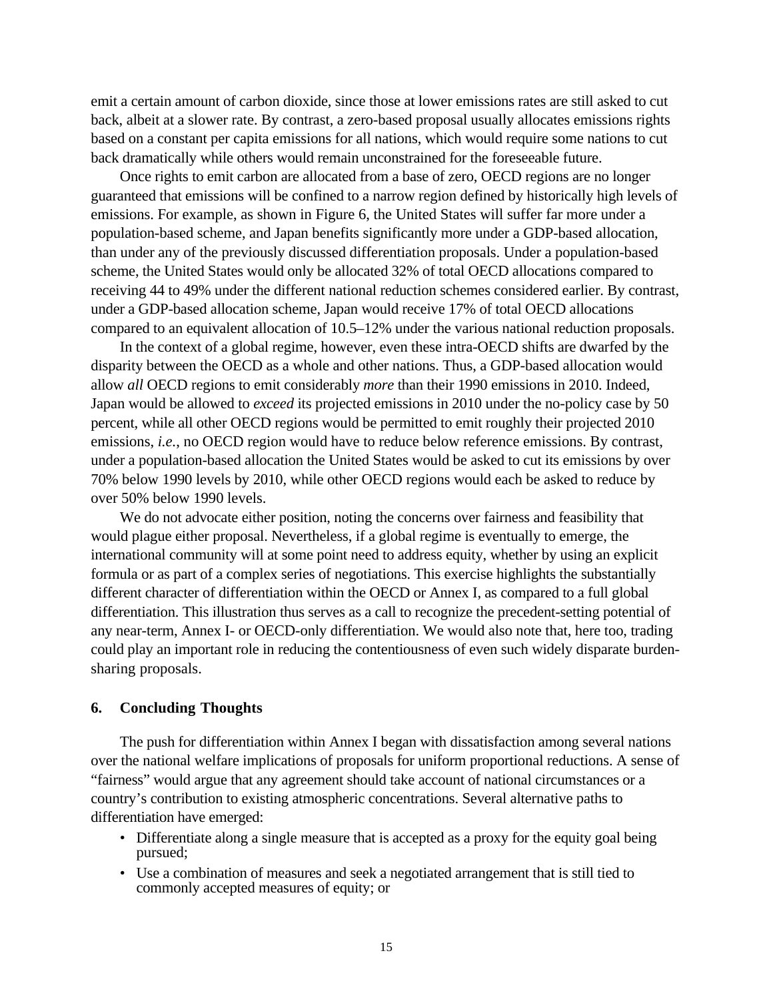emit a certain amount of carbon dioxide, since those at lower emissions rates are still asked to cut back, albeit at a slower rate. By contrast, a zero-based proposal usually allocates emissions rights based on a constant per capita emissions for all nations, which would require some nations to cut back dramatically while others would remain unconstrained for the foreseeable future.

Once rights to emit carbon are allocated from a base of zero, OECD regions are no longer guaranteed that emissions will be confined to a narrow region defined by historically high levels of emissions. For example, as shown in Figure 6, the United States will suffer far more under a population-based scheme, and Japan benefits significantly more under a GDP-based allocation, than under any of the previously discussed differentiation proposals. Under a population-based scheme, the United States would only be allocated 32% of total OECD allocations compared to receiving 44 to 49% under the different national reduction schemes considered earlier. By contrast, under a GDP-based allocation scheme, Japan would receive 17% of total OECD allocations compared to an equivalent allocation of 10.5–12% under the various national reduction proposals.

In the context of a global regime, however, even these intra-OECD shifts are dwarfed by the disparity between the OECD as a whole and other nations. Thus, a GDP-based allocation would allow *all* OECD regions to emit considerably *more* than their 1990 emissions in 2010. Indeed, Japan would be allowed to *exceed* its projected emissions in 2010 under the no-policy case by 50 percent, while all other OECD regions would be permitted to emit roughly their projected 2010 emissions, *i.e.*, no OECD region would have to reduce below reference emissions. By contrast, under a population-based allocation the United States would be asked to cut its emissions by over 70% below 1990 levels by 2010, while other OECD regions would each be asked to reduce by over 50% below 1990 levels.

We do not advocate either position, noting the concerns over fairness and feasibility that would plague either proposal. Nevertheless, if a global regime is eventually to emerge, the international community will at some point need to address equity, whether by using an explicit formula or as part of a complex series of negotiations. This exercise highlights the substantially different character of differentiation within the OECD or Annex I, as compared to a full global differentiation. This illustration thus serves as a call to recognize the precedent-setting potential of any near-term, Annex I- or OECD-only differentiation. We would also note that, here too, trading could play an important role in reducing the contentiousness of even such widely disparate burdensharing proposals.

### **6. Concluding Thoughts**

The push for differentiation within Annex I began with dissatisfaction among several nations over the national welfare implications of proposals for uniform proportional reductions. A sense of "fairness" would argue that any agreement should take account of national circumstances or a country's contribution to existing atmospheric concentrations. Several alternative paths to differentiation have emerged:

- Differentiate along a single measure that is accepted as a proxy for the equity goal being pursued;
- Use a combination of measures and seek a negotiated arrangement that is still tied to commonly accepted measures of equity; or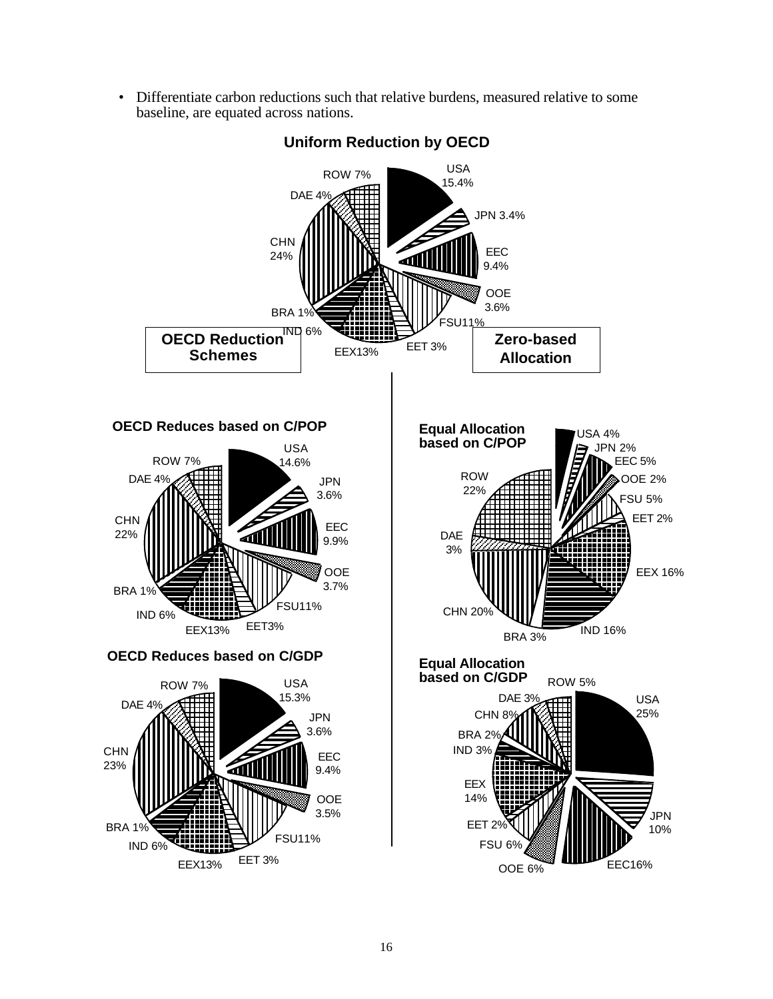• Differentiate carbon reductions such that relative burdens, measured relative to some baseline, are equated across nations.



# **Uniform Reduction by OECD**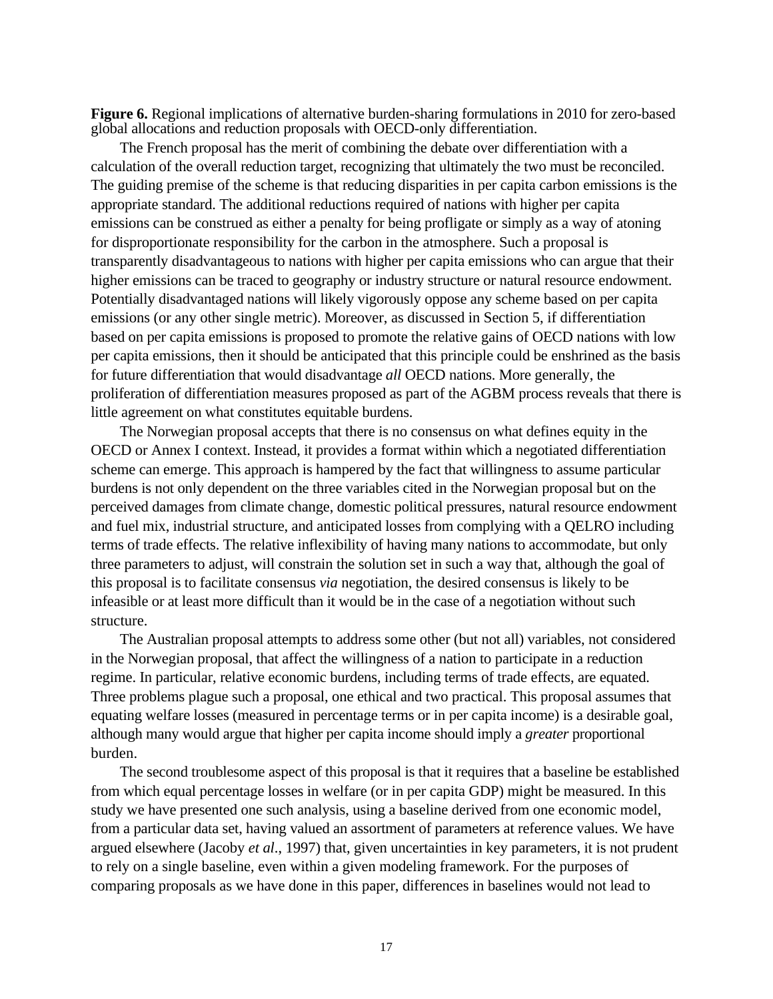**Figure 6.** Regional implications of alternative burden-sharing formulations in 2010 for zero-based global allocations and reduction proposals with OECD-only differentiation.

The French proposal has the merit of combining the debate over differentiation with a calculation of the overall reduction target, recognizing that ultimately the two must be reconciled. The guiding premise of the scheme is that reducing disparities in per capita carbon emissions is the appropriate standard. The additional reductions required of nations with higher per capita emissions can be construed as either a penalty for being profligate or simply as a way of atoning for disproportionate responsibility for the carbon in the atmosphere. Such a proposal is transparently disadvantageous to nations with higher per capita emissions who can argue that their higher emissions can be traced to geography or industry structure or natural resource endowment. Potentially disadvantaged nations will likely vigorously oppose any scheme based on per capita emissions (or any other single metric). Moreover, as discussed in Section 5, if differentiation based on per capita emissions is proposed to promote the relative gains of OECD nations with low per capita emissions, then it should be anticipated that this principle could be enshrined as the basis for future differentiation that would disadvantage *all* OECD nations. More generally, the proliferation of differentiation measures proposed as part of the AGBM process reveals that there is little agreement on what constitutes equitable burdens.

The Norwegian proposal accepts that there is no consensus on what defines equity in the OECD or Annex I context. Instead, it provides a format within which a negotiated differentiation scheme can emerge. This approach is hampered by the fact that willingness to assume particular burdens is not only dependent on the three variables cited in the Norwegian proposal but on the perceived damages from climate change, domestic political pressures, natural resource endowment and fuel mix, industrial structure, and anticipated losses from complying with a QELRO including terms of trade effects. The relative inflexibility of having many nations to accommodate, but only three parameters to adjust, will constrain the solution set in such a way that, although the goal of this proposal is to facilitate consensus *via* negotiation, the desired consensus is likely to be infeasible or at least more difficult than it would be in the case of a negotiation without such structure.

The Australian proposal attempts to address some other (but not all) variables, not considered in the Norwegian proposal, that affect the willingness of a nation to participate in a reduction regime. In particular, relative economic burdens, including terms of trade effects, are equated. Three problems plague such a proposal, one ethical and two practical. This proposal assumes that equating welfare losses (measured in percentage terms or in per capita income) is a desirable goal, although many would argue that higher per capita income should imply a *greater* proportional burden.

The second troublesome aspect of this proposal is that it requires that a baseline be established from which equal percentage losses in welfare (or in per capita GDP) might be measured. In this study we have presented one such analysis, using a baseline derived from one economic model, from a particular data set, having valued an assortment of parameters at reference values. We have argued elsewhere (Jacoby *et al*., 1997) that, given uncertainties in key parameters, it is not prudent to rely on a single baseline, even within a given modeling framework. For the purposes of comparing proposals as we have done in this paper, differences in baselines would not lead to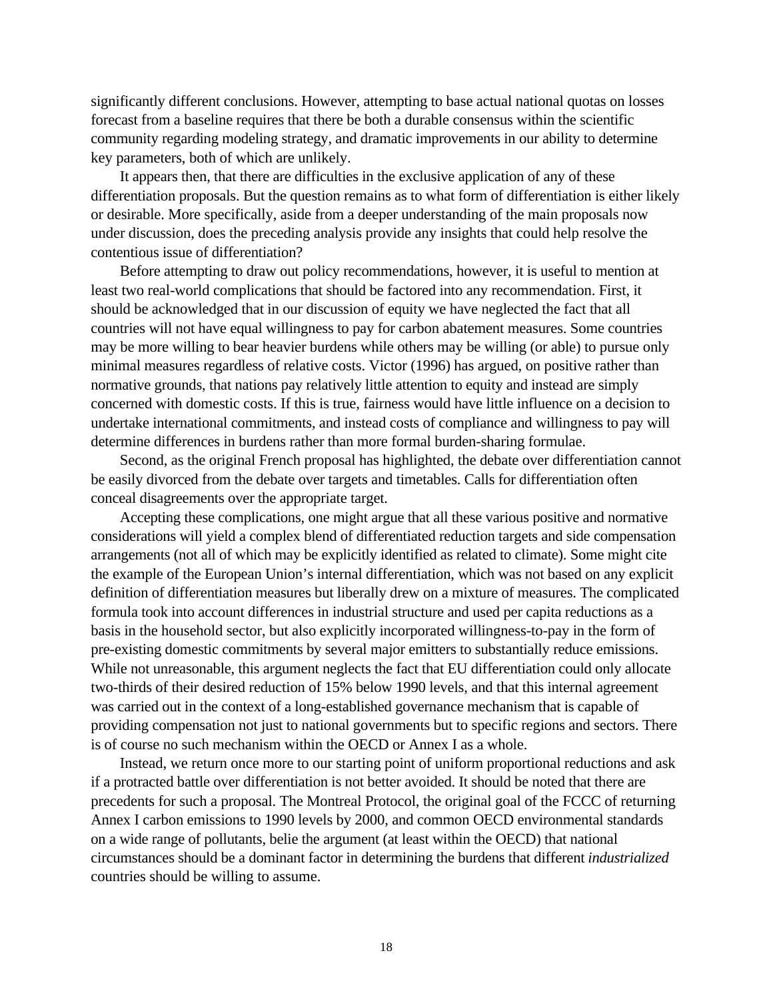significantly different conclusions. However, attempting to base actual national quotas on losses forecast from a baseline requires that there be both a durable consensus within the scientific community regarding modeling strategy, and dramatic improvements in our ability to determine key parameters, both of which are unlikely.

It appears then, that there are difficulties in the exclusive application of any of these differentiation proposals. But the question remains as to what form of differentiation is either likely or desirable. More specifically, aside from a deeper understanding of the main proposals now under discussion, does the preceding analysis provide any insights that could help resolve the contentious issue of differentiation?

Before attempting to draw out policy recommendations, however, it is useful to mention at least two real-world complications that should be factored into any recommendation. First, it should be acknowledged that in our discussion of equity we have neglected the fact that all countries will not have equal willingness to pay for carbon abatement measures. Some countries may be more willing to bear heavier burdens while others may be willing (or able) to pursue only minimal measures regardless of relative costs. Victor (1996) has argued, on positive rather than normative grounds, that nations pay relatively little attention to equity and instead are simply concerned with domestic costs. If this is true, fairness would have little influence on a decision to undertake international commitments, and instead costs of compliance and willingness to pay will determine differences in burdens rather than more formal burden-sharing formulae.

Second, as the original French proposal has highlighted, the debate over differentiation cannot be easily divorced from the debate over targets and timetables. Calls for differentiation often conceal disagreements over the appropriate target.

Accepting these complications, one might argue that all these various positive and normative considerations will yield a complex blend of differentiated reduction targets and side compensation arrangements (not all of which may be explicitly identified as related to climate). Some might cite the example of the European Union's internal differentiation, which was not based on any explicit definition of differentiation measures but liberally drew on a mixture of measures. The complicated formula took into account differences in industrial structure and used per capita reductions as a basis in the household sector, but also explicitly incorporated willingness-to-pay in the form of pre-existing domestic commitments by several major emitters to substantially reduce emissions. While not unreasonable, this argument neglects the fact that EU differentiation could only allocate two-thirds of their desired reduction of 15% below 1990 levels, and that this internal agreement was carried out in the context of a long-established governance mechanism that is capable of providing compensation not just to national governments but to specific regions and sectors. There is of course no such mechanism within the OECD or Annex I as a whole.

Instead, we return once more to our starting point of uniform proportional reductions and ask if a protracted battle over differentiation is not better avoided. It should be noted that there are precedents for such a proposal. The Montreal Protocol, the original goal of the FCCC of returning Annex I carbon emissions to 1990 levels by 2000, and common OECD environmental standards on a wide range of pollutants, belie the argument (at least within the OECD) that national circumstances should be a dominant factor in determining the burdens that different *industrialized* countries should be willing to assume.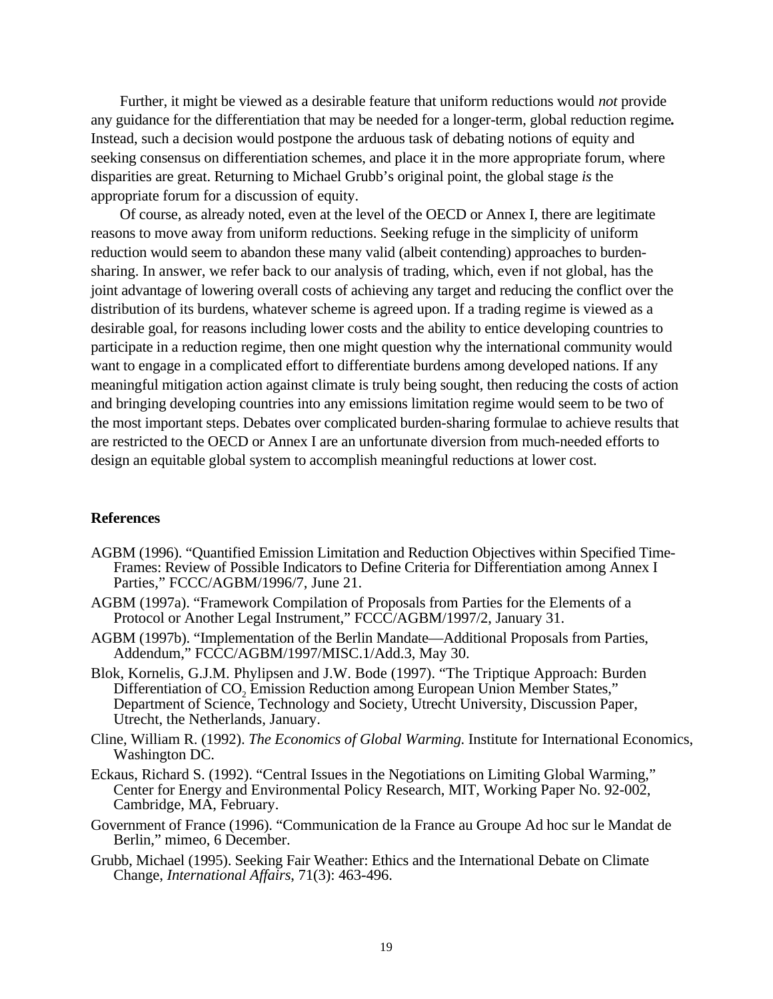Further, it might be viewed as a desirable feature that uniform reductions would *not* provide any guidance for the differentiation that may be needed for a longer-term, global reduction regime**.** Instead, such a decision would postpone the arduous task of debating notions of equity and seeking consensus on differentiation schemes, and place it in the more appropriate forum, where disparities are great. Returning to Michael Grubb's original point, the global stage *is* the appropriate forum for a discussion of equity.

Of course, as already noted, even at the level of the OECD or Annex I, there are legitimate reasons to move away from uniform reductions. Seeking refuge in the simplicity of uniform reduction would seem to abandon these many valid (albeit contending) approaches to burdensharing. In answer, we refer back to our analysis of trading, which, even if not global, has the joint advantage of lowering overall costs of achieving any target and reducing the conflict over the distribution of its burdens, whatever scheme is agreed upon. If a trading regime is viewed as a desirable goal, for reasons including lower costs and the ability to entice developing countries to participate in a reduction regime, then one might question why the international community would want to engage in a complicated effort to differentiate burdens among developed nations. If any meaningful mitigation action against climate is truly being sought, then reducing the costs of action and bringing developing countries into any emissions limitation regime would seem to be two of the most important steps. Debates over complicated burden-sharing formulae to achieve results that are restricted to the OECD or Annex I are an unfortunate diversion from much-needed efforts to design an equitable global system to accomplish meaningful reductions at lower cost.

#### **References**

- AGBM (1996). "Quantified Emission Limitation and Reduction Objectives within Specified Time-Frames: Review of Possible Indicators to Define Criteria for Differentiation among Annex I Parties," FCCC/AGBM/1996/7, June 21.
- AGBM (1997a). "Framework Compilation of Proposals from Parties for the Elements of a Protocol or Another Legal Instrument," FCCC/AGBM/1997/2, January 31.
- AGBM (1997b). "Implementation of the Berlin Mandate—Additional Proposals from Parties, Addendum," FCCC/AGBM/1997/MISC.1/Add.3, May 30.
- Blok, Kornelis, G.J.M. Phylipsen and J.W. Bode (1997). "The Triptique Approach: Burden Differentiation of CO<sub>2</sub> Emission Reduction among European Union Member States." Department of Science, Technology and Society, Utrecht University, Discussion Paper, Utrecht, the Netherlands, January.
- Cline, William R. (1992). *The Economics of Global Warming.* Institute for International Economics, Washington DC.
- Eckaus, Richard S. (1992). "Central Issues in the Negotiations on Limiting Global Warming," Center for Energy and Environmental Policy Research, MIT, Working Paper No. 92-002, Cambridge, MA, February.
- Government of France (1996). "Communication de la France au Groupe Ad hoc sur le Mandat de Berlin," mimeo, 6 December.
- Grubb, Michael (1995). Seeking Fair Weather: Ethics and the International Debate on Climate Change, *International Affairs*, 71(3): 463-496.